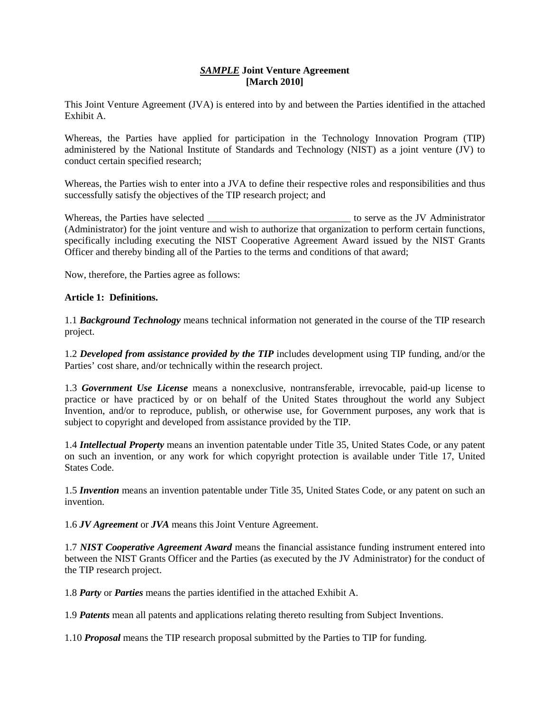# *SAMPLE* **Joint Venture Agreement [March 2010]**

This Joint Venture Agreement (JVA) is entered into by and between the Parties identified in the attached Exhibit A.

Whereas, the Parties have applied for participation in the Technology Innovation Program (TIP) administered by the National Institute of Standards and Technology (NIST) as a joint venture (JV) to conduct certain specified research;

Whereas, the Parties wish to enter into a JVA to define their respective roles and responsibilities and thus successfully satisfy the objectives of the TIP research project; and

Whereas, the Parties have selected the set of the serve as the JV Administrator (Administrator) for the joint venture and wish to authorize that organization to perform certain functions, specifically including executing the NIST Cooperative Agreement Award issued by the NIST Grants Officer and thereby binding all of the Parties to the terms and conditions of that award;

Now, therefore, the Parties agree as follows:

# **Article 1: Definitions.**

1.1 *Background Technology* means technical information not generated in the course of the TIP research project.

1.2 *Developed from assistance provided by the TIP* includes development using TIP funding, and/or the Parties' cost share, and/or technically within the research project.

1.3 *Government Use License* means a nonexclusive, nontransferable, irrevocable, paid-up license to practice or have practiced by or on behalf of the United States throughout the world any Subject Invention, and/or to reproduce, publish, or otherwise use, for Government purposes, any work that is subject to copyright and developed from assistance provided by the TIP.

1.4 *Intellectual Property* means an invention patentable under Title 35, United States Code, or any patent on such an invention, or any work for which copyright protection is available under Title 17, United States Code.

1.5 *Invention* means an invention patentable under Title 35, United States Code, or any patent on such an invention.

1.6 *JV Agreement* or *JVA* means this Joint Venture Agreement.

1.7 *NIST Cooperative Agreement Award* means the financial assistance funding instrument entered into between the NIST Grants Officer and the Parties (as executed by the JV Administrator) for the conduct of the TIP research project.

1.8 *Party* or *Parties* means the parties identified in the attached Exhibit A.

1.9 *Patents* mean all patents and applications relating thereto resulting from Subject Inventions.

1.10 *Proposal* means the TIP research proposal submitted by the Parties to TIP for funding.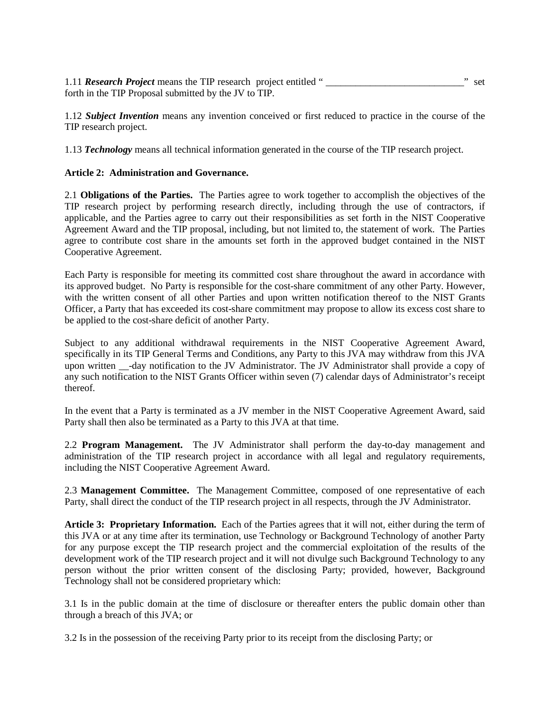1.11 *Research Project* means the TIP research project entitled "  $\cdot$  " set forth in the TIP Proposal submitted by the JV to TIP.

1.12 *Subject Invention* means any invention conceived or first reduced to practice in the course of the TIP research project.

1.13 *Technology* means all technical information generated in the course of the TIP research project.

## **Article 2: Administration and Governance.**

2.1 **Obligations of the Parties.** The Parties agree to work together to accomplish the objectives of the TIP research project by performing research directly, including through the use of contractors, if applicable, and the Parties agree to carry out their responsibilities as set forth in the NIST Cooperative Agreement Award and the TIP proposal, including, but not limited to, the statement of work. The Parties agree to contribute cost share in the amounts set forth in the approved budget contained in the NIST Cooperative Agreement.

Each Party is responsible for meeting its committed cost share throughout the award in accordance with its approved budget. No Party is responsible for the cost-share commitment of any other Party. However, with the written consent of all other Parties and upon written notification thereof to the NIST Grants Officer, a Party that has exceeded its cost-share commitment may propose to allow its excess cost share to be applied to the cost-share deficit of another Party.

Subject to any additional withdrawal requirements in the NIST Cooperative Agreement Award, specifically in its TIP General Terms and Conditions, any Party to this JVA may withdraw from this JVA upon written \_\_-day notification to the JV Administrator. The JV Administrator shall provide a copy of any such notification to the NIST Grants Officer within seven (7) calendar days of Administrator's receipt thereof.

In the event that a Party is terminated as a JV member in the NIST Cooperative Agreement Award, said Party shall then also be terminated as a Party to this JVA at that time.

2.2 **Program Management.** The JV Administrator shall perform the day-to-day management and administration of the TIP research project in accordance with all legal and regulatory requirements, including the NIST Cooperative Agreement Award.

2.3 **Management Committee.** The Management Committee, composed of one representative of each Party, shall direct the conduct of the TIP research project in all respects, through the JV Administrator.

**Article 3: Proprietary Information.** Each of the Parties agrees that it will not, either during the term of this JVA or at any time after its termination, use Technology or Background Technology of another Party for any purpose except the TIP research project and the commercial exploitation of the results of the development work of the TIP research project and it will not divulge such Background Technology to any person without the prior written consent of the disclosing Party; provided, however, Background Technology shall not be considered proprietary which:

3.1 Is in the public domain at the time of disclosure or thereafter enters the public domain other than through a breach of this JVA; or

3.2 Is in the possession of the receiving Party prior to its receipt from the disclosing Party; or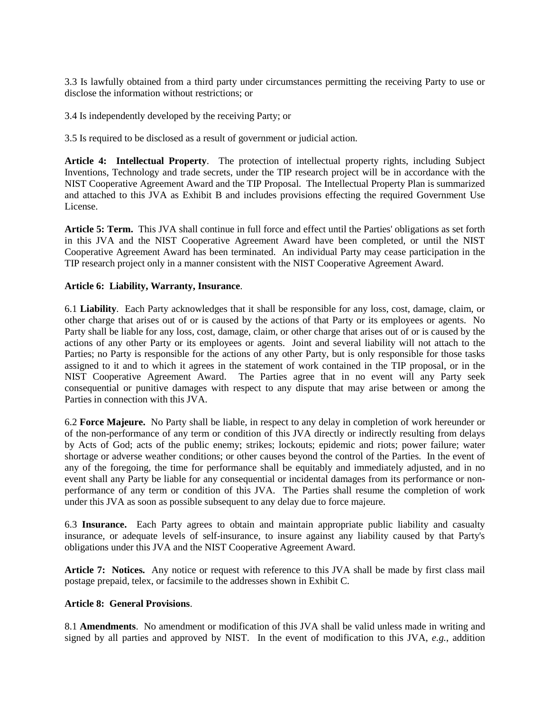3.3 Is lawfully obtained from a third party under circumstances permitting the receiving Party to use or disclose the information without restrictions; or

3.4 Is independently developed by the receiving Party; or

3.5 Is required to be disclosed as a result of government or judicial action.

**Article 4: Intellectual Property**. The protection of intellectual property rights, including Subject Inventions, Technology and trade secrets, under the TIP research project will be in accordance with the NIST Cooperative Agreement Award and the TIP Proposal. The Intellectual Property Plan is summarized and attached to this JVA as Exhibit B and includes provisions effecting the required Government Use License.

**Article 5: Term.** This JVA shall continue in full force and effect until the Parties' obligations as set forth in this JVA and the NIST Cooperative Agreement Award have been completed, or until the NIST Cooperative Agreement Award has been terminated. An individual Party may cease participation in the TIP research project only in a manner consistent with the NIST Cooperative Agreement Award.

## **Article 6: Liability, Warranty, Insurance**.

6.1 **Liability**.Each Party acknowledges that it shall be responsible for any loss, cost, damage, claim, or other charge that arises out of or is caused by the actions of that Party or its employees or agents. No Party shall be liable for any loss, cost, damage, claim, or other charge that arises out of or is caused by the actions of any other Party or its employees or agents. Joint and several liability will not attach to the Parties; no Party is responsible for the actions of any other Party, but is only responsible for those tasks assigned to it and to which it agrees in the statement of work contained in the TIP proposal, or in the NIST Cooperative Agreement Award. The Parties agree that in no event will any Party seek consequential or punitive damages with respect to any dispute that may arise between or among the Parties in connection with this JVA.

6.2 **Force Majeure.** No Party shall be liable, in respect to any delay in completion of work hereunder or of the non-performance of any term or condition of this JVA directly or indirectly resulting from delays by Acts of God; acts of the public enemy; strikes; lockouts; epidemic and riots; power failure; water shortage or adverse weather conditions; or other causes beyond the control of the Parties. In the event of any of the foregoing, the time for performance shall be equitably and immediately adjusted, and in no event shall any Party be liable for any consequential or incidental damages from its performance or nonperformance of any term or condition of this JVA. The Parties shall resume the completion of work under this JVA as soon as possible subsequent to any delay due to force majeure.

6.3 **Insurance.** Each Party agrees to obtain and maintain appropriate public liability and casualty insurance, or adequate levels of self-insurance, to insure against any liability caused by that Party's obligations under this JVA and the NIST Cooperative Agreement Award.

**Article 7: Notices.** Any notice or request with reference to this JVA shall be made by first class mail postage prepaid, telex, or facsimile to the addresses shown in Exhibit C.

#### **Article 8: General Provisions**.

8.1 **Amendments**. No amendment or modification of this JVA shall be valid unless made in writing and signed by all parties and approved by NIST. In the event of modification to this JVA, *e.g.*, addition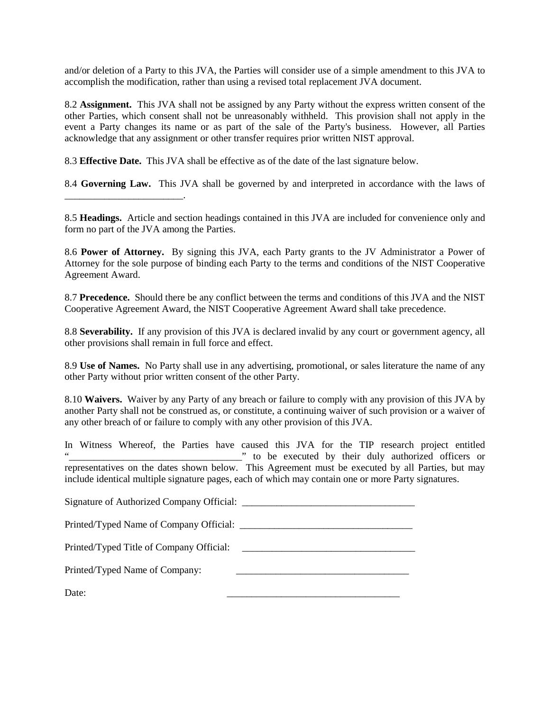and/or deletion of a Party to this JVA, the Parties will consider use of a simple amendment to this JVA to accomplish the modification, rather than using a revised total replacement  $\overline{V}A$  document.

8.2 **Assignment.** This JVA shall not be assigned by any Party without the express written consent of the other Parties, which consent shall not be unreasonably withheld. This provision shall not apply in the event a Party changes its name or as part of the sale of the Party's business. However, all Parties acknowledge that any assignment or other transfer requires prior written NIST approval.

8.3 **Effective Date.** This JVA shall be effective as of the date of the last signature below.

8.4 **Governing Law.** This JVA shall be governed by and interpreted in accordance with the laws of

8.5 **Headings.** Article and section headings contained in this JVA are included for convenience only and form no part of the JVA among the Parties.

8.6 **Power of Attorney.** By signing this JVA, each Party grants to the JV Administrator a Power of Attorney for the sole purpose of binding each Party to the terms and conditions of the NIST Cooperative Agreement Award.

8.7 **Precedence.** Should there be any conflict between the terms and conditions of this JVA and the NIST Cooperative Agreement Award, the NIST Cooperative Agreement Award shall take precedence.

8.8 **Severability.** If any provision of this JVA is declared invalid by any court or government agency, all other provisions shall remain in full force and effect.

8.9 **Use of Names.** No Party shall use in any advertising, promotional, or sales literature the name of any other Party without prior written consent of the other Party.

8.10 **Waivers.** Waiver by any Party of any breach or failure to comply with any provision of this JVA by another Party shall not be construed as, or constitute, a continuing waiver of such provision or a waiver of any other breach of or failure to comply with any other provision of this JVA.

In Witness Whereof, the Parties have caused this JVA for the TIP research project entitled "\_\_\_\_\_\_\_\_\_\_\_\_\_\_\_\_\_\_\_\_\_\_\_\_\_\_\_\_\_\_\_\_\_\_\_" to be executed by their duly authorized officers or representatives on the dates shown below. This Agreement must be executed by all Parties, but may include identical multiple signature pages, each of which may contain one or more Party signatures.

| Signature of Authorized Company Official: |  |
|-------------------------------------------|--|
| Printed/Typed Name of Company Official:   |  |

Printed/Typed Title of Company Official:

Printed/Typed Name of Company:

\_\_\_\_\_\_\_\_\_\_\_\_\_\_\_\_\_\_\_\_\_\_\_\_.

Date: \_\_\_\_\_\_\_\_\_\_\_\_\_\_\_\_\_\_\_\_\_\_\_\_\_\_\_\_\_\_\_\_\_\_\_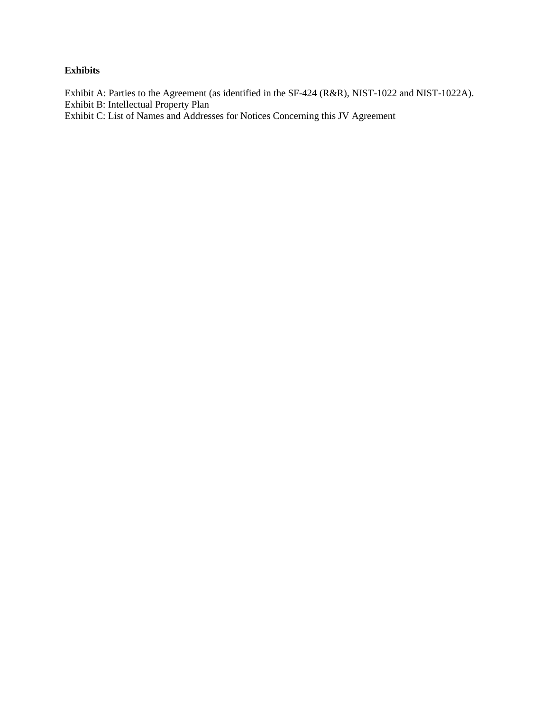# **Exhibits**

Exhibit A: Parties to the Agreement (as identified in the SF-424 (R&R), NIST-1022 and NIST-1022A). Exhibit B: Intellectual Property Plan

Exhibit C: List of Names and Addresses for Notices Concerning this JV Agreement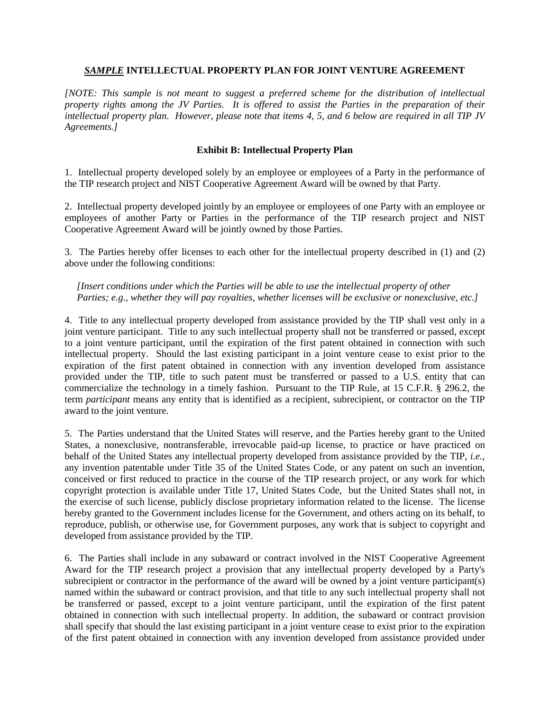## *SAMPLE* **INTELLECTUAL PROPERTY PLAN FOR JOINT VENTURE AGREEMENT**

*[NOTE: This sample is not meant to suggest a preferred scheme for the distribution of intellectual property rights among the JV Parties. It is offered to assist the Parties in the preparation of their intellectual property plan. However, please note that items 4, 5, and 6 below are required in all TIP JV Agreements.]*

# **Exhibit B: Intellectual Property Plan**

1. Intellectual property developed solely by an employee or employees of a Party in the performance of the TIP research project and NIST Cooperative Agreement Award will be owned by that Party.

2. Intellectual property developed jointly by an employee or employees of one Party with an employee or employees of another Party or Parties in the performance of the TIP research project and NIST Cooperative Agreement Award will be jointly owned by those Parties.

3. The Parties hereby offer licenses to each other for the intellectual property described in (1) and (2) above under the following conditions:

 *[Insert conditions under which the Parties will be able to use the intellectual property of other Parties; e.g., whether they will pay royalties, whether licenses will be exclusive or nonexclusive, etc.]*

4. Title to any intellectual property developed from assistance provided by the TIP shall vest only in a joint venture participant. Title to any such intellectual property shall not be transferred or passed, except to a joint venture participant, until the expiration of the first patent obtained in connection with such intellectual property. Should the last existing participant in a joint venture cease to exist prior to the expiration of the first patent obtained in connection with any invention developed from assistance provided under the TIP, title to such patent must be transferred or passed to a U.S. entity that can commercialize the technology in a timely fashion. Pursuant to the TIP Rule, at 15 C.F.R. § 296.2, the term *participant* means any entity that is identified as a recipient, subrecipient, or contractor on the TIP award to the joint venture.

5. The Parties understand that the United States will reserve, and the Parties hereby grant to the United States, a nonexclusive, nontransferable, irrevocable paid-up license, to practice or have practiced on behalf of the United States any intellectual property developed from assistance provided by the TIP, *i.e.*, any invention patentable under Title 35 of the United States Code, or any patent on such an invention, conceived or first reduced to practice in the course of the TIP research project, or any work for which copyright protection is available under Title 17, United States Code, but the United States shall not, in the exercise of such license, publicly disclose proprietary information related to the license. The license hereby granted to the Government includes license for the Government, and others acting on its behalf, to reproduce, publish, or otherwise use, for Government purposes, any work that is subject to copyright and developed from assistance provided by the TIP.

6. The Parties shall include in any subaward or contract involved in the NIST Cooperative Agreement Award for the TIP research project a provision that any intellectual property developed by a Party's subrecipient or contractor in the performance of the award will be owned by a joint venture participant(s) named within the subaward or contract provision, and that title to any such intellectual property shall not be transferred or passed, except to a joint venture participant, until the expiration of the first patent obtained in connection with such intellectual property. In addition, the subaward or contract provision shall specify that should the last existing participant in a joint venture cease to exist prior to the expiration of the first patent obtained in connection with any invention developed from assistance provided under